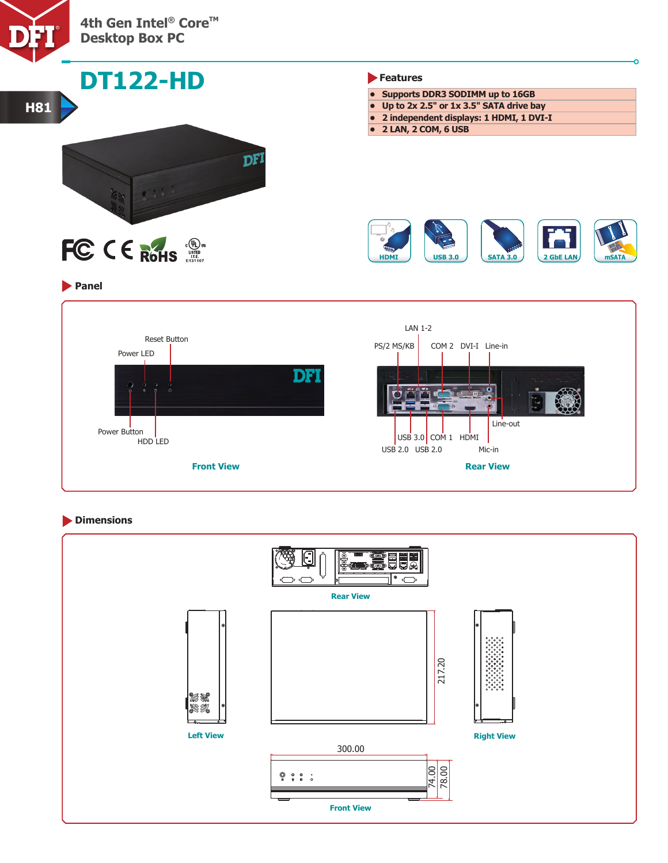



# **Dimensions**

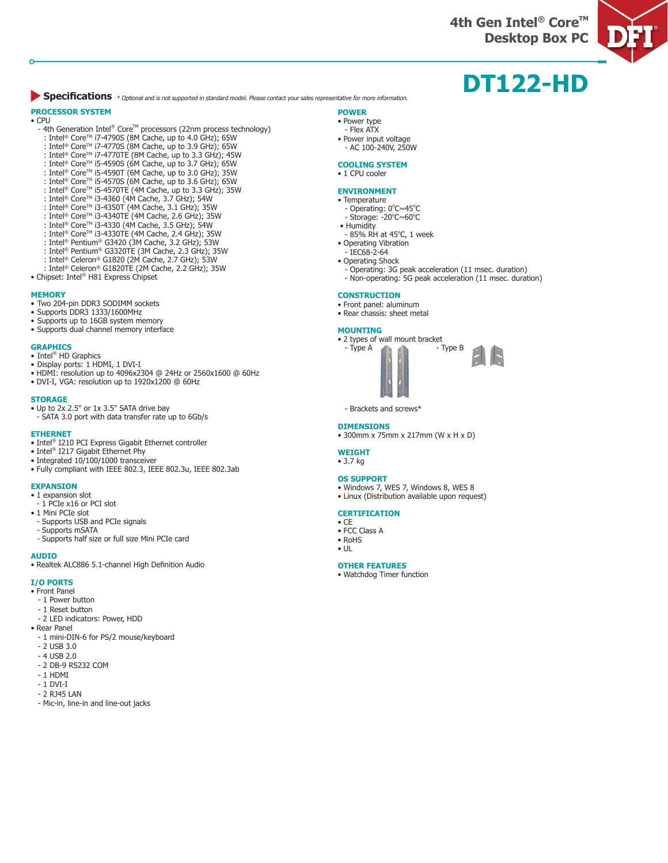**4th Gen Intel® Core™ Desktop Box PC**



# **DT122-HD**

**Specifications** \* Optional and is not supported in standard model. Please contact your sales representative for more information.

### **PROCESSOR SYSTEM**

### • CPU

- 4th Generation Intel® Core™ processors (22nm process technology)
- : Intel® CoreTM i7-4790S (8M Cache, up to 4.0 GHz); 65W
- : Intel® CoreTM i7-4770S (8M Cache, up to 3.9 GHz); 65W
- : Intel® Core™ i7-4770TE (8M Cache, up to 3.3 GHz); 45W : Intel® Core™ i5-4590S (6M Cache, up to 3.7 GHz); 65W
- : Intel® CoreTM i5-4590T (6M Cache, up to 3.0 GHz); 35W
- : Intel® CoreTM i5-4570S (6M Cache, up to 3.6 GHz); 65W
- : Intel® CoreTM i5-4570TE (4M Cache, up to 3.3 GHz); 35W
- : Intel® CoreTM i3-4360 (4M Cache, 3.7 GHz); 54W
- : Intel® CoreTM i3-4350T (4M Cache, 3.1 GHz); 35W
- : Intel® CoreTM i3-4340TE (4M Cache, 2.6 GHz); 35W
- 
- : Intel® CoreTM i3-4330 (4M Cache, 3.5 GHz); 54W
- : Intel® CoreTM i3-4330TE (4M Cache, 2.4 GHz); 35W
- : Intel® Pentium® G3420 (3M Cache, 3.2 GHz); 53W
- : Intel® Pentium® G3320TE (3M Cache, 2.3 GHz); 35W
- : Intel® Celeron® G1820 (2M Cache, 2.7 GHz); 53W
- : Intel® Celeron® G1820TE (2M Cache, 2.2 GHz); 35W
- Chipset: Intel<sup>®</sup> H81 Express Chipset

#### **MEMORY**

- Two 204-pin DDR3 SODIMM sockets
- Supports DDR3 1333/1600MHz
- Supports up to 16GB system memory
- Supports dual channel memory interface

- **GRAPHICS** Intel® HD Graphics
- Display ports: 1 HDMI, 1 DVI-I
- HDMI: resolution up to 4096x2304 @ 24Hz or 2560x1600 @ 60Hz
- DVI-I, VGA: resolution up to 1920x1200 @ 60Hz

#### **STORAGE**

- Up to 2x 2.5" or 1x 3.5" SATA drive bay
- SATA 3.0 port with data transfer rate up to 6Gb/s

#### **ETHERNET**

- Intel® I210 PCI Express Gigabit Ethernet controller
- Intel® I217 Gigabit Ethernet Phy
- Integrated 10/100/1000 transceiver
- Fully compliant with IEEE 802.3, IEEE 802.3u, IEEE 802.3ab

#### **EXPANSION**

- 1 expansion slot
- 1 PCIe x16 or PCI slot
- 1 Mini PCIe slot
- Supports USB and PCIe signals
- Supports mSATA
- Supports half size or full size Mini PCIe card

#### **AUDIO**

• Realtek ALC886 5.1-channel High Definition Audio

#### **I/O PORTS**

- Front Panel
- 1 Power button
- 1 Reset button
- 2 LED indicators: Power, HDD
- Rear Panel
- 1 mini-DIN-6 for PS/2 mouse/keyboard
- 2 USB 3.0
- 4 USB 2.0
- 2 DB-9 RS232 COM
- 1 HDMI
- 1 DVI-I
- 2 RJ45 LAN
- Mic-in, line-in and line-out jacks

#### **POWER**

- Power type - Flex ATX
- Power input voltage
- AC 100-240V, 250W

#### **COOLING SYSTEM**

#### • 1 CPU cooler

#### **ENVIRONMENT**

- Temperature
- Operating: 0°C~45°C
- Storage: -20°C~60°C
- Humidity
- 85% RH at 45°C, 1 week • Operating Vibration
- IEC68-2-64
- Operating Shock
- Operating: 3G peak acceleration (11 msec. duration)
- Non-operating: 5G peak acceleration (11 msec. duration)

#### **CONSTRUCTION**

- Front panel: aluminum
- Rear chassis: sheet metal

#### **MOUNTING**

- 2 types of wall mount bracket<br>Type A Type B  $-$  Type A
- Brackets and screws\*

#### **DIMENSIONS**

- 300mm x 75mm x 217mm (W x H x D)
- **WEIGHT**
- 3.7 kg

#### **OS SUPPORT**

- Windows 7, WES 7, Windows 8, WES 8
- Linux (Distribution available upon request)

#### **CERTIFICATION**

- CE • FCC Class A
- 
- RoHS • UL

**OTHER FEATURES** • Watchdog Timer function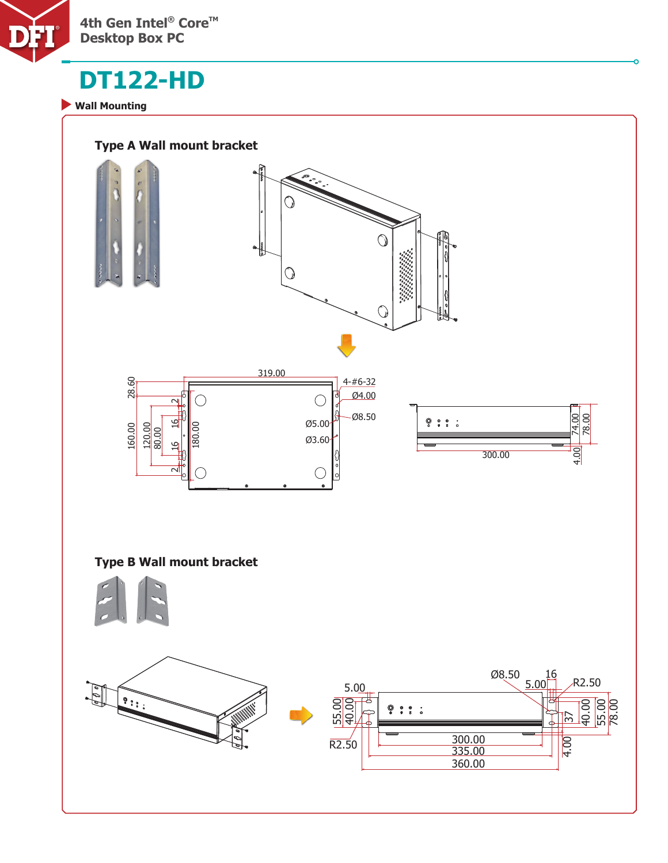

# **DT122-HD**

**Wall Mounting**